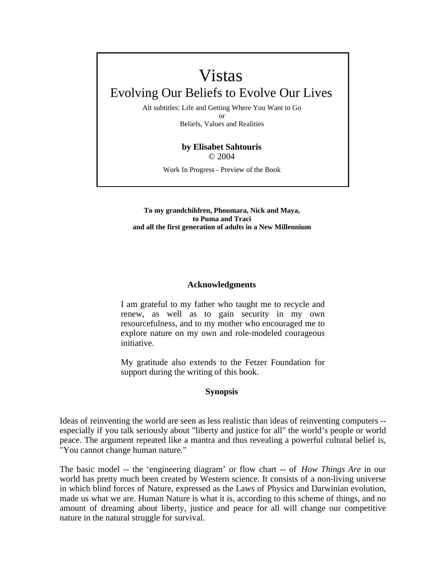# Vistas

# Evolving Our Beliefs to Evolve Our Lives

Alt subtitles: Life and Getting Where You Want to Go or Beliefs, Values and Realities

# **by Elisabet Sahtouris**  © 2004

Work In Progress - Preview of the Book

#### **To my grandchildren, Phoumara, Nick and Maya, to Puma and Traci and all the first generation of adults in a New Millennium**

## **Acknowledgments**

I am grateful to my father who taught me to recycle and renew, as well as to gain security in my own resourcefulness, and to my mother who encouraged me to explore nature on my own and role-modeled courageous initiative.

My gratitude also extends to the Fetzer Foundation for support during the writing of this book.

#### **Synopsis**

Ideas of reinventing the world are seen as less realistic than ideas of reinventing computers - especially if you talk seriously about "liberty and justice for all" the world's people or world peace. The argument repeated like a mantra and thus revealing a powerful cultural belief is, "You cannot change human nature."

The basic model -- the 'engineering diagram' or flow chart -- of *How Things Are* in our world has pretty much been created by Western science. It consists of a non-living universe in which blind forces of Nature, expressed as the Laws of Physics and Darwinian evolution, made us what we are. Human Nature is what it is, according to this scheme of things, and no amount of dreaming about liberty, justice and peace for all will change our competitive nature in the natural struggle for survival.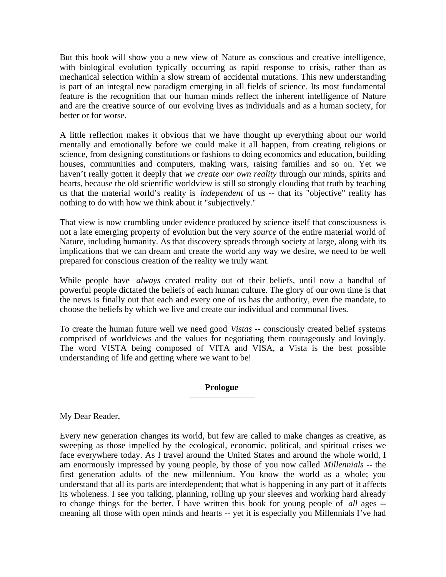But this book will show you a new view of Nature as conscious and creative intelligence, with biological evolution typically occurring as rapid response to crisis, rather than as mechanical selection within a slow stream of accidental mutations. This new understanding is part of an integral new paradigm emerging in all fields of science. Its most fundamental feature is the recognition that our human minds reflect the inherent intelligence of Nature and are the creative source of our evolving lives as individuals and as a human society, for better or for worse.

A little reflection makes it obvious that we have thought up everything about our world mentally and emotionally before we could make it all happen, from creating religions or science, from designing constitutions or fashions to doing economics and education, building houses, communities and computers, making wars, raising families and so on. Yet we haven't really gotten it deeply that *we create our own reality* through our minds, spirits and hearts, because the old scientific worldview is still so strongly clouding that truth by teaching us that the material world's reality is *independent* of us -- that its "objective" reality has nothing to do with how we think about it "subjectively."

That view is now crumbling under evidence produced by science itself that consciousness is not a late emerging property of evolution but the very *source* of the entire material world of Nature, including humanity. As that discovery spreads through society at large, along with its implications that we can dream and create the world any way we desire, we need to be well prepared for conscious creation of the reality we truly want.

While people have *always* created reality out of their beliefs, until now a handful of powerful people dictated the beliefs of each human culture. The glory of our own time is that the news is finally out that each and every one of us has the authority, even the mandate, to choose the beliefs by which we live and create our individual and communal lives.

To create the human future well we need good *Vistas* -- consciously created belief systems comprised of worldviews and the values for negotiating them courageously and lovingly. The word VISTA being composed of VITA and VISA, a Vista is the best possible understanding of life and getting where we want to be!

## **Prologue**

My Dear Reader,

Every new generation changes its world, but few are called to make changes as creative, as sweeping as those impelled by the ecological, economic, political, and spiritual crises we face everywhere today. As I travel around the United States and around the whole world, I am enormously impressed by young people, by those of you now called *Millennials* -- the first generation adults of the new millennium. You know the world as a whole; you understand that all its parts are interdependent; that what is happening in any part of it affects its wholeness. I see you talking, planning, rolling up your sleeves and working hard already to change things for the better. I have written this book for young people of *all* ages - meaning all those with open minds and hearts -- yet it is especially you Millennials I've had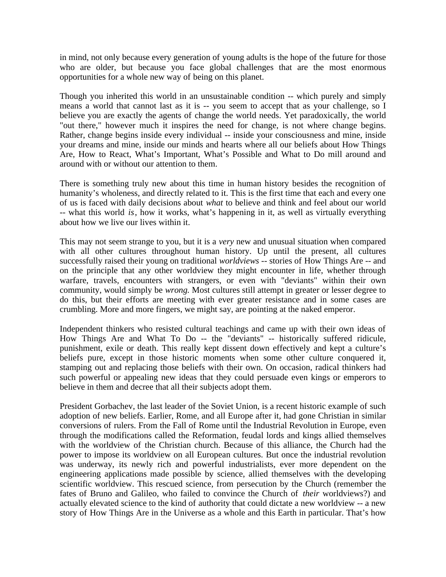in mind, not only because every generation of young adults is the hope of the future for those who are older, but because you face global challenges that are the most enormous opportunities for a whole new way of being on this planet.

Though you inherited this world in an unsustainable condition -- which purely and simply means a world that cannot last as it is -- you seem to accept that as your challenge, so I believe you are exactly the agents of change the world needs. Yet paradoxically, the world "out there," however much it inspires the need for change, is not where change begins. Rather, change begins inside every individual -- inside your consciousness and mine, inside your dreams and mine, inside our minds and hearts where all our beliefs about How Things Are, How to React, What's Important, What's Possible and What to Do mill around and around with or without our attention to them.

There is something truly new about this time in human history besides the recognition of humanity's wholeness, and directly related to it. This is the first time that each and every one of us is faced with daily decisions about *what* to believe and think and feel about our world -- what this world *is*, how it works, what's happening in it, as well as virtually everything about how we live our lives within it.

This may not seem strange to you, but it is a *very* new and unusual situation when compared with all other cultures throughout human history. Up until the present, all cultures successfully raised their young on traditional *worldviews* -- stories of How Things Are -- and on the principle that any other worldview they might encounter in life, whether through warfare, travels, encounters with strangers, or even with "deviants" within their own community, would simply be *wrong.* Most cultures still attempt in greater or lesser degree to do this, but their efforts are meeting with ever greater resistance and in some cases are crumbling. More and more fingers, we might say, are pointing at the naked emperor.

Independent thinkers who resisted cultural teachings and came up with their own ideas of How Things Are and What To Do -- the "deviants" -- historically suffered ridicule, punishment, exile or death. This really kept dissent down effectively and kept a culture's beliefs pure, except in those historic moments when some other culture conquered it, stamping out and replacing those beliefs with their own. On occasion, radical thinkers had such powerful or appealing new ideas that they could persuade even kings or emperors to believe in them and decree that all their subjects adopt them.

President Gorbachev, the last leader of the Soviet Union, is a recent historic example of such adoption of new beliefs. Earlier, Rome, and all Europe after it, had gone Christian in similar conversions of rulers. From the Fall of Rome until the Industrial Revolution in Europe, even through the modifications called the Reformation, feudal lords and kings allied themselves with the worldview of the Christian church. Because of this alliance, the Church had the power to impose its worldview on all European cultures. But once the industrial revolution was underway, its newly rich and powerful industrialists, ever more dependent on the engineering applications made possible by science, allied themselves with the developing scientific worldview. This rescued science, from persecution by the Church (remember the fates of Bruno and Galileo, who failed to convince the Church of *their* worldviews?) and actually elevated science to the kind of authority that could dictate a new worldview -- a new story of How Things Are in the Universe as a whole and this Earth in particular. That's how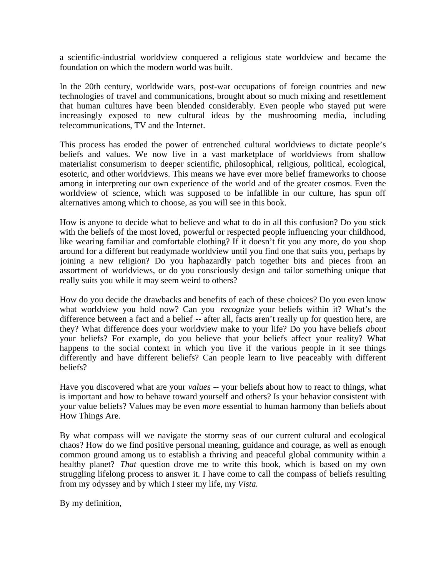a scientific-industrial worldview conquered a religious state worldview and became the foundation on which the modern world was built.

In the 20th century, worldwide wars, post-war occupations of foreign countries and new technologies of travel and communications, brought about so much mixing and resettlement that human cultures have been blended considerably. Even people who stayed put were increasingly exposed to new cultural ideas by the mushrooming media, including telecommunications, TV and the Internet.

This process has eroded the power of entrenched cultural worldviews to dictate people's beliefs and values. We now live in a vast marketplace of worldviews from shallow materialist consumerism to deeper scientific, philosophical, religious, political, ecological, esoteric, and other worldviews. This means we have ever more belief frameworks to choose among in interpreting our own experience of the world and of the greater cosmos. Even the worldview of science, which was supposed to be infallible in our culture, has spun off alternatives among which to choose, as you will see in this book.

How is anyone to decide what to believe and what to do in all this confusion? Do you stick with the beliefs of the most loved, powerful or respected people influencing your childhood, like wearing familiar and comfortable clothing? If it doesn't fit you any more, do you shop around for a different but readymade worldview until you find one that suits you, perhaps by joining a new religion? Do you haphazardly patch together bits and pieces from an assortment of worldviews, or do you consciously design and tailor something unique that really suits you while it may seem weird to others?

How do you decide the drawbacks and benefits of each of these choices? Do you even know what worldview you hold now? Can you *recognize* your beliefs within it? What's the difference between a fact and a belief -- after all, facts aren't really up for question here, are they? What difference does your worldview make to your life? Do you have beliefs *about* your beliefs? For example, do you believe that your beliefs affect your reality? What happens to the social context in which you live if the various people in it see things differently and have different beliefs? Can people learn to live peaceably with different beliefs?

Have you discovered what are your *values* -- your beliefs about how to react to things, what is important and how to behave toward yourself and others? Is your behavior consistent with your value beliefs? Values may be even *more* essential to human harmony than beliefs about How Things Are.

By what compass will we navigate the stormy seas of our current cultural and ecological chaos? How do we find positive personal meaning, guidance and courage, as well as enough common ground among us to establish a thriving and peaceful global community within a healthy planet? *That* question drove me to write this book, which is based on my own struggling lifelong process to answer it. I have come to call the compass of beliefs resulting from my odyssey and by which I steer my life, my *Vista.*

By my definition,